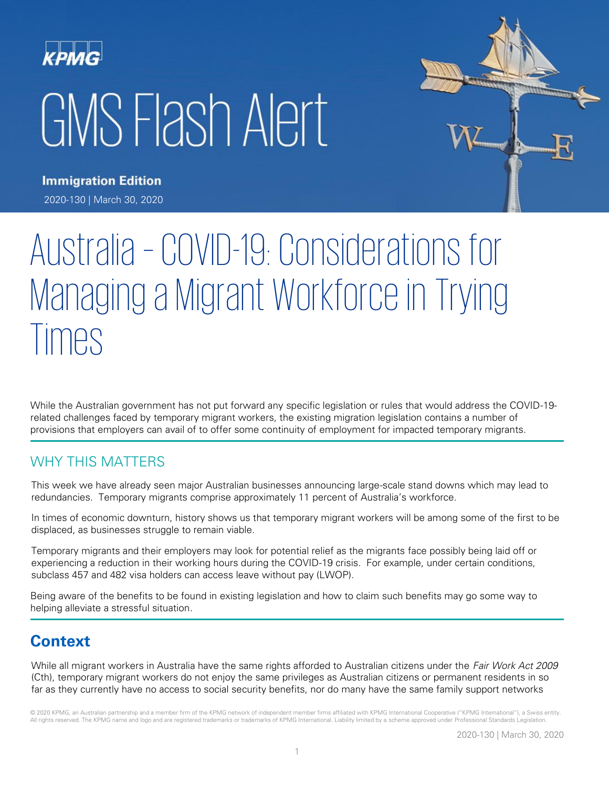# KPMG GMS Flash Alert



**Immigration Edition** 2020-130 | March 30, 2020

# Australia – COVID-19: Considerations for Managing a Migrant Workforce in Trying **Imes**

While the Australian government has not put forward any specific legislation or rules that would address the COVID-19 related challenges faced by temporary migrant workers, the existing migration legislation contains a number of provisions that employers can avail of to offer some continuity of employment for impacted temporary migrants.

## WHY THIS MATTERS

This week we have already seen major Australian businesses announcing large-scale stand downs which may lead to redundancies. Temporary migrants comprise approximately 11 percent of Australia's workforce.

In times of economic downturn, history shows us that temporary migrant workers will be among some of the first to be displaced, as businesses struggle to remain viable.

Temporary migrants and their employers may look for potential relief as the migrants face possibly being laid off or experiencing a reduction in their working hours during the COVID-19 crisis. For example, under certain conditions, subclass 457 and 482 visa holders can access leave without pay (LWOP).

Being aware of the benefits to be found in existing legislation and how to claim such benefits may go some way to helping alleviate a stressful situation.

# **Context**

While all migrant workers in Australia have the same rights afforded to Australian citizens under the Fair Work Act 2009 (Cth), temporary migrant workers do not enjoy the same privileges as Australian citizens or permanent residents in so far as they currently have no access to social security benefits, nor do many have the same family support networks

© 2020 KPMG, an Australian partnership and a member firm of the KPMG network of independent member firms affiliated with KPMG International Cooperative ("KPMG International"), a Swiss entity. All rights reserved. The KPMG name and logo and are registered trademarks or trademarks of KPMG International. Liability limited by a scheme approved under Professional Standards Legislation.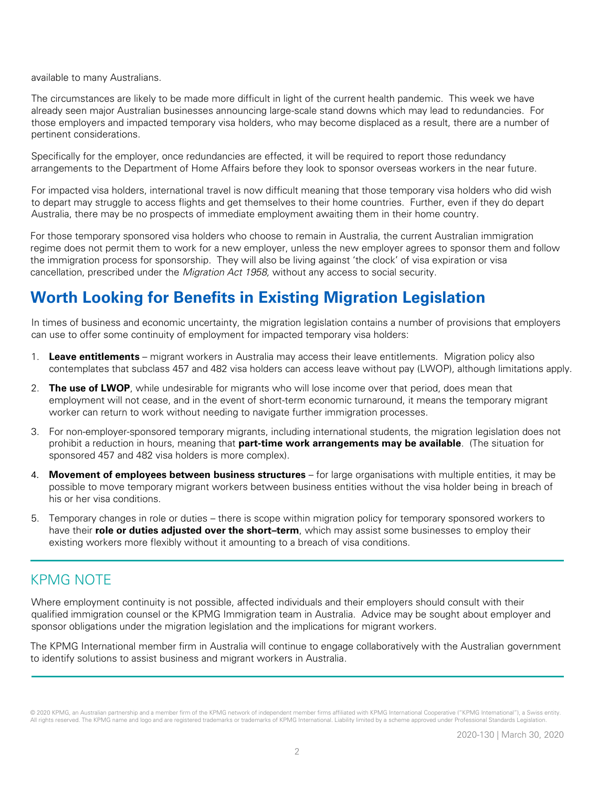available to many Australians.

The circumstances are likely to be made more difficult in light of the current health pandemic. This week we have already seen major Australian businesses announcing large-scale stand downs which may lead to redundancies. For those employers and impacted temporary visa holders, who may become displaced as a result, there are a number of pertinent considerations.

Specifically for the employer, once redundancies are effected, it will be required to report those redundancy arrangements to the Department of Home Affairs before they look to sponsor overseas workers in the near future.

For impacted visa holders, international travel is now difficult meaning that those temporary visa holders who did wish to depart may struggle to access flights and get themselves to their home countries. Further, even if they do depart Australia, there may be no prospects of immediate employment awaiting them in their home country.

For those temporary sponsored visa holders who choose to remain in Australia, the current Australian immigration regime does not permit them to work for a new employer, unless the new employer agrees to sponsor them and follow the immigration process for sponsorship. They will also be living against 'the clock' of visa expiration or visa cancellation, prescribed under the *Migration Act 1958*, without any access to social security.

# **Worth Looking for Benefits in Existing Migration Legislation**

In times of business and economic uncertainty, the migration legislation contains a number of provisions that employers can use to offer some continuity of employment for impacted temporary visa holders:

- 1. **Leave entitlements** migrant workers in Australia may access their leave entitlements. Migration policy also contemplates that subclass 457 and 482 visa holders can access leave without pay (LWOP), although limitations apply.
- 2. **The use of LWOP**, while undesirable for migrants who will lose income over that period, does mean that employment will not cease, and in the event of short-term economic turnaround, it means the temporary migrant worker can return to work without needing to navigate further immigration processes.
- 3. For non-employer-sponsored temporary migrants, including international students, the migration legislation does not prohibit a reduction in hours, meaning that **part-time work arrangements may be available**. (The situation for sponsored 457 and 482 visa holders is more complex).
- 4. **Movement of employees between business structures** for large organisations with multiple entities, it may be possible to move temporary migrant workers between business entities without the visa holder being in breach of his or her visa conditions.
- 5. Temporary changes in role or duties there is scope within migration policy for temporary sponsored workers to have their **role or duties adjusted over the short–term**, which may assist some businesses to employ their existing workers more flexibly without it amounting to a breach of visa conditions.

### KPMG NOTE

Where employment continuity is not possible, affected individuals and their employers should consult with their qualified immigration counsel or the KPMG Immigration team in Australia. Advice may be sought about employer and sponsor obligations under the migration legislation and the implications for migrant workers.

The KPMG International member firm in Australia will continue to engage collaboratively with the Australian government to identify solutions to assist business and migrant workers in Australia.

<sup>© 2020</sup> KPMG, an Australian partnership and a member firm of the KPMG network of independent member firms affiliated with KPMG International Cooperative ("KPMG International"), a Swiss entity. All rights reserved. The KPMG name and logo and are registered trademarks or trademarks of KPMG International. Liability limited by a scheme approved under Professional Standards Legislation.